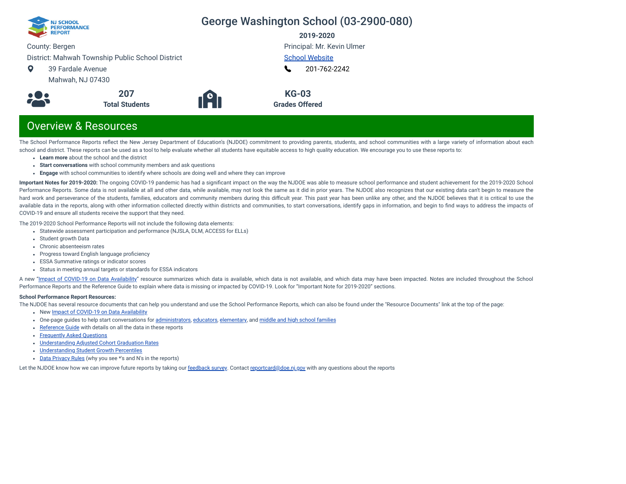

# George Washington School (03-2900-080)

**2019-2020**

County: Bergen

District: Mahwah Township Public School District

- $\bullet$ 39 Fardale Avenue
	- Mahwah, NJ 07430



**191** 

[School Website](https://www.mahwah.k12.nj.us/Domain/12) [201-762-2242](tel:+201-762-2242) L

Principal: Mr. Kevin Ulmer

**KG-03 Grades Offered**

# Overview & Resources

The School Performance Reports reflect the New Jersey Department of Education's (NJDOE) commitment to providing parents, students, and school communities with a large variety of information about each school and district. These reports can be used as a tool to help evaluate whether all students have equitable access to high quality education. We encourage you to use these reports to:

- **Learn more** about the school and the district
- **Start conversations** with school community members and ask questions
- **Engage** with school communities to identify where schools are doing well and where they can improve

**Important Notes for 2019-2020:** The ongoing COVID-19 pandemic has had a signicant impact on the way the NJDOE was able to measure school performance and student achievement for the 2019-2020 School Performance Reports. Some data is not available at all and other data, while available, may not look the same as it did in prior years. The NJDOE also recognizes that our existing data can't begin to measure the hard work and perseverance of the students, families, educators and community members during this difficult year. This past year has been unlike any other, and the NJDOE believes that it is critical to use the available data in the reports, along with other information collected directly within districts and communities, to start conversations, identify gaps in information, and begin to find ways to address the impacts of COVID-19 and ensure all students receive the support that they need.

The 2019-2020 School Performance Reports will not include the following data elements:

- Statewide assessment participation and performance (NJSLA, DLM, ACCESS for ELLs)
- Student growth Data
- Chronic absenteeism rates
- Progress toward English language proficiency
- ESSA Summative ratings or indicator scores
- Status in meeting annual targets or standards for ESSA indicators

A new "Impact of [COVID-19 on](https://www.nj.gov/education/schoolperformance/resources/docs/2019-20%20School%20Performance%20Reports%20-%20Impact%20of%20COVID-19%20on%20Data%20Availability.pdf) Data Availability" resource summarizes which data is available, which data is not available, and which data may have been impacted. Notes are included throughout the School Performance Reports and the Reference Guide to explain where data is missing or impacted by COVID-19. Look for "Important Note for 2019-2020" sections.

#### **School Performance Report Resources:**

The NJDOE has several resource documents that can help you understand and use the School Performance Reports, which can also be found under the "Resource Documents" link at the top of the page:

- New Impact of [COVID-19 on](https://www.nj.gov/education/schoolperformance/resources/docs/2019-20%20School%20Performance%20Reports%20-%20Impact%20of%20COVID-19%20on%20Data%20Availability.pdf) Data Availability
- One-page guides to help start conversations for [administrators](https://www.nj.gov/education/schoolperformance/resources/docs/2019-20%20School%20Performance%20Reports%20-%20One-Page%20Guides%20-%20Administrators.pdf), [educators](https://www.nj.gov/education/schoolperformance/resources/docs/2019-20%20School%20Performance%20Reports%20-%20One-Page%20Guides%20-%20Educators.pdf), [elementary](https://www.nj.gov/education/schoolperformance/resources/docs/2019-20%20School%20Performance%20Reports%20-%20One-Page%20Guides%20-%20FamiliesCommunities.pdf), and middle and high school [families](https://www.nj.gov/education/schoolperformance/resources/docs/2019-20%20School%20Performance%20Reports%20-%20One-Page%20Guides%20-%20MS%20and%20HS.pdf)
- [Reference](https://rc.doe.state.nj.us/Documents/1920/ReferenceGuide.pdf) Guide with details on all the data in these reports
- [Frequently](https://rc.doe.state.nj.us/Documents/1920/FAQs.pdf) Asked Questions
- [Understanding](https://www.nj.gov/education/schoolperformance/grad/docs/Understanding%20Adjusted%20Cohort%20Graduation%20Rates.pdf) Adjusted Cohort Graduation Rates
- [Understanding](https://www.nj.gov/education/schoolperformance/growth/Understanding%20Median%20Student%20Growth%20Percentiles.pdf) Student Growth Percentiles
- Data [Privacy](https://rc.doe.state.nj.us/Documents/1920/DataPrivacyRules.pdf) Rules (why you see \*'s and N's in the reports)

Let the NJDOE know how we can improve future reports by taking our [feedback](https://www.surveymonkey.com/r/2019-20SPR) survey. Contact [reportcard@doe.nj.gov](mailto:reportcard@doe.nj.gov) with any questions about the reports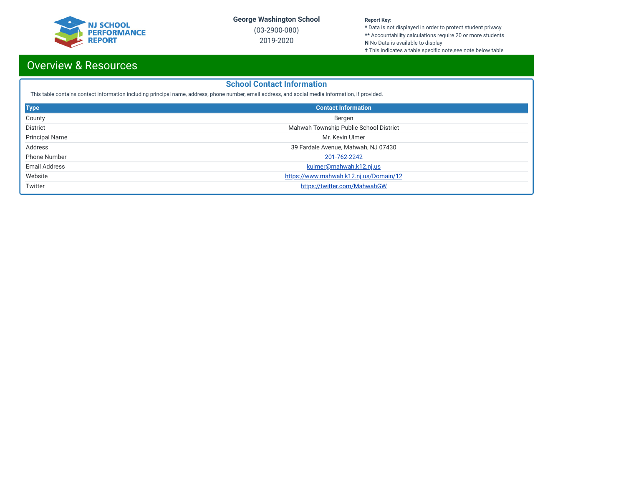

(03-2900-080) 2019-2020

#### **Report Key:**

**\*** Data is not displayed in order to protect student privacy **\*\*** Accountability calculations require 20 or more students

**N** No Data is available to display

**†** This indicates a table specific note,see note below table

# Overview & Resources

# **School Contact Information**

This table contains contact information including principal name, address, phone number, email address, and social media information, if provided.

| <b>Type</b>           | <b>Contact Information</b>             |
|-----------------------|----------------------------------------|
| County                | Bergen                                 |
| <b>District</b>       | Mahwah Township Public School District |
| <b>Principal Name</b> | Mr. Kevin Ulmer                        |
| Address               | 39 Fardale Avenue, Mahwah, NJ 07430    |
| <b>Phone Number</b>   | 201-762-2242                           |
| <b>Email Address</b>  | kulmer@mahwah.k12.nj.us                |
| Website               | https://www.mahwah.k12.nj.us/Domain/12 |
| Twitter               | https://twitter.com/MahwahGW           |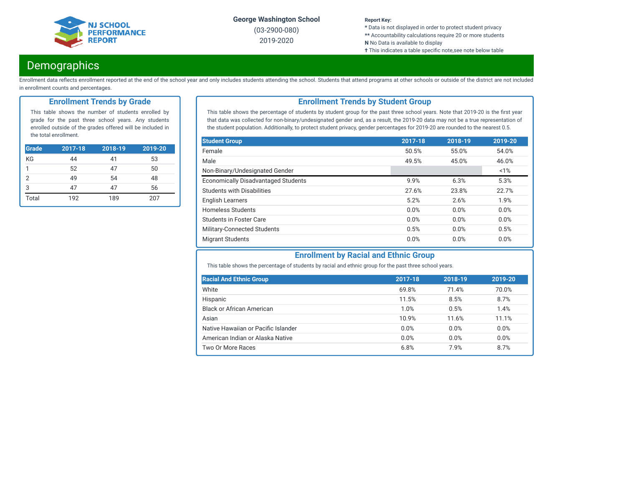

(03-2900-080) 2019-2020

#### **Report Key:**

**\*** Data is not displayed in order to protect student privacy **\*\*** Accountability calculations require 20 or more students

- **N** No Data is available to display
- **†** This indicates a table specific note,see note below table

# **Demographics**

Enrollment data reflects enrollment reported at the end of the school year and only includes students attending the school. Students that attend programs at other schools or outside of the district are not included in enrollment counts and percentages.

### **Enrollment Trends by Grade**

This table shows the number of students enrolled by grade for the past three school years. Any students enrolled outside of the grades offered will be included in the total enrollment.

| <b>Grade</b> | $2017 - 18$ | $2018 - 19$ | 2019-20 |
|--------------|-------------|-------------|---------|
| ΚG           | 44          | 41          | 53      |
| 1            | 52          | 47          | 50      |
| 2            | 49          | 54          | 48      |
| 3            | 47          | 47          | 56      |
| Total        | 192         | 189         | 207     |

# **Enrollment Trends by Student Group**

This table shows the percentage of students by student group for the past three school years. Note that 2019-20 is the first year that data was collected for non-binary/undesignated gender and, as a result, the 2019-20 data may not be a true representation of the student population. Additionally, to protect student privacy, gender percentages for 2019-20 are rounded to the nearest 0.5.

| <b>Student Group</b>                       | 2017-18 | 2018-19 | 2019-20 |
|--------------------------------------------|---------|---------|---------|
| Female                                     | 50.5%   | 55.0%   | 54.0%   |
| Male                                       | 49.5%   | 45.0%   | 46.0%   |
| Non-Binary/Undesignated Gender             |         |         | 1%      |
| <b>Economically Disadvantaged Students</b> | 9.9%    | 6.3%    | 5.3%    |
| <b>Students with Disabilities</b>          | 27.6%   | 23.8%   | 22.7%   |
| <b>English Learners</b>                    | 5.2%    | 2.6%    | 1.9%    |
| <b>Homeless Students</b>                   | 0.0%    | 0.0%    | 0.0%    |
| Students in Foster Care                    | 0.0%    | 0.0%    | 0.0%    |
| Military-Connected Students                | 0.5%    | 0.0%    | 0.5%    |
| <b>Migrant Students</b>                    | 0.0%    | 0.0%    | 0.0%    |

# **Enrollment by Racial and Ethnic Group**

This table shows the percentage of students by racial and ethnic group for the past three school years.

| <b>Racial And Ethnic Group</b>      | 2017-18 | 2018-19 | 2019-20 |
|-------------------------------------|---------|---------|---------|
| White                               | 69.8%   | 71.4%   | 70.0%   |
| Hispanic                            | 11.5%   | 8.5%    | 8.7%    |
| Black or African American           | 1.0%    | 0.5%    | 1.4%    |
| Asian                               | 10.9%   | 11.6%   | 11.1%   |
| Native Hawaiian or Pacific Islander | 0.0%    | 0.0%    | 0.0%    |
| American Indian or Alaska Native    | 0.0%    | 0.0%    | 0.0%    |
| Two Or More Races                   | 6.8%    | 7.9%    | 8.7%    |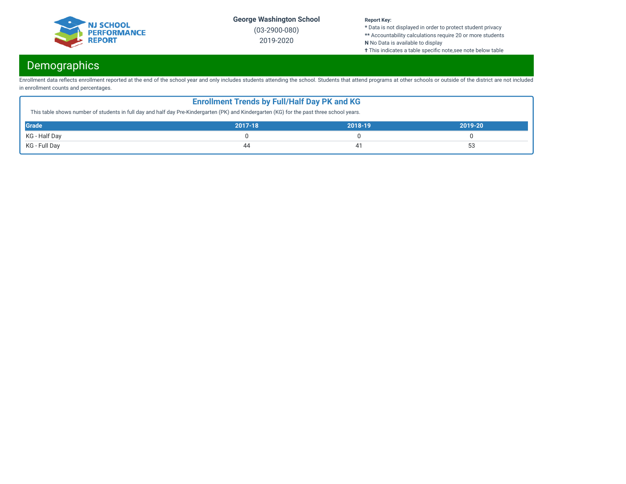

(03-2900-080) 2019-2020

#### **Report Key:**

**\*** Data is not displayed in order to protect student privacy **\*\*** Accountability calculations require 20 or more students

**N** No Data is available to display

**†** This indicates a table specific note,see note below table

# Demographics

Enrollment data reflects enrollment reported at the end of the school year and only includes students attending the school. Students that attend programs at other schools or outside of the district are not included in enrollment counts and percentages.

| <b>Enrollment Trends by Full/Half Day PK and KG</b><br>This table shows number of students in full day and half day Pre-Kindergarten (PK) and Kindergarten (KG) for the past three school years. |  |  |  |  |  |  |
|--------------------------------------------------------------------------------------------------------------------------------------------------------------------------------------------------|--|--|--|--|--|--|
| <b>Grade</b><br>2017-18<br>2018-19<br>2019-20                                                                                                                                                    |  |  |  |  |  |  |
| KG - Half Day                                                                                                                                                                                    |  |  |  |  |  |  |
| 53<br>KG - Full Day<br>44                                                                                                                                                                        |  |  |  |  |  |  |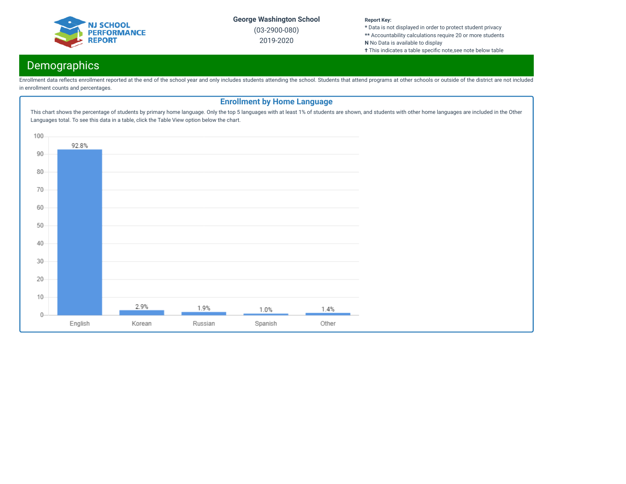

(03-2900-080) 2019-2020

#### **Report Key:**

**\*** Data is not displayed in order to protect student privacy **\*\*** Accountability calculations require 20 or more students **N** No Data is available to display

**†** This indicates a table specific note,see note below table

# Demographics

Enrollment data reflects enrollment reported at the end of the school year and only includes students attending the school. Students that attend programs at other schools or outside of the district are not included in enrollment counts and percentages.

# **Enrollment by Home Language**This chart shows the percentage of students by primary home language. Only the top 5 languages with at least 1% of students are shown, and students with other home languages are included in the Other Languages total. To see this data in a table, click the Table View option below the chart. 100 92.8% 90 80 70 60 50 40  $30<sup>°</sup>$ 20  $10$ 2.9% 1.9% 1.0% 1.4%  $\theta$ English Russian Spanish Other Korean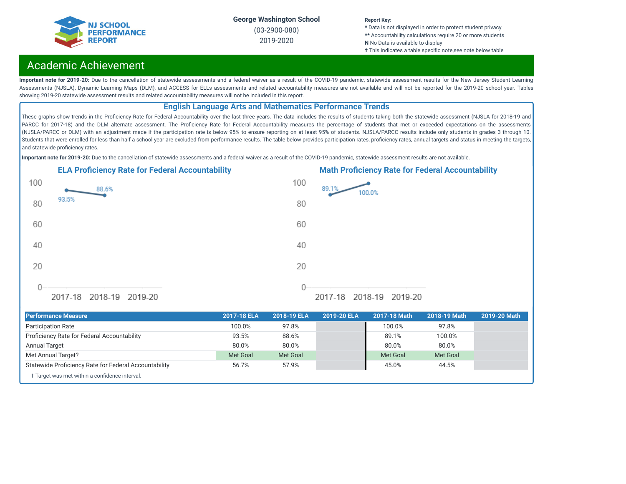

(03-2900-080) 2019-2020

#### **Report Key:**

**\*** Data is not displayed in order to protect student privacy **\*\*** Accountability calculations require 20 or more students **N** No Data is available to display

**†** This indicates a table specific note,see note below table

# Academic Achievement

Important note for 2019-20: Due to the cancellation of statewide assessments and a federal waiver as a result of the COVID-19 pandemic, statewide assessment results for the New Jersey Student Learning Assessments (NJSLA), Dynamic Learning Maps (DLM), and ACCESS for ELLs assessments and related accountability measures are not available and will not be reported for the 2019-20 school year. Tables showing 2019-20 statewide assessment results and related accountability measures will not be included in this report.

## **English Language Arts and Mathematics Performance Trends**

These graphs show trends in the Proficiency Rate for Federal Accountability over the last three years. The data includes the results of students taking both the statewide assessment (NJSLA for 2018-19 and PARCC for 2017-18) and the DLM alternate assessment. The Proficiency Rate for Federal Accountability measures the percentage of students that met or exceeded expectations on the assessments (NJSLA/PARCC or DLM) with an adjustment made if the participation rate is below 95% to ensure reporting on at least 95% of students. NJSLA/PARCC results include only students in grades 3 through 10. Students that were enrolled for less than half a school year are excluded from performance results. The table below provides participation rates, proficiency rates, annual targets and status in meeting the targets, and statewide proficiency rates.

**Important note for 2019-20:** Due to the cancellation of statewide assessments and a federal waiver as a result of the COVID-19 pandemic, statewide assessment results are not available.





| <b>Performance Measure</b>                            | 2017-18 ELA | 2018-19 ELA | 2019-20 ELA | 2017-18 Math | 2018-19 Math | 2019-20 Math |
|-------------------------------------------------------|-------------|-------------|-------------|--------------|--------------|--------------|
| <b>Participation Rate</b>                             | 100.0%      | 97.8%       |             | 100.0%       | 97.8%        |              |
| Proficiency Rate for Federal Accountability           | 93.5%       | 88.6%       |             | 89.1%        | 100.0%       |              |
| Annual Target                                         | 80.0%       | 80.0%       |             | 80.0%        | 80.0%        |              |
| Met Annual Target?                                    | Met Goal    | Met Goal    |             | Met Goal     | Met Goal     |              |
| Statewide Proficiency Rate for Federal Accountability | 56.7%       | 57.9%       |             | 45.0%        | 44.5%        |              |
| † Target was met within a confidence interval.        |             |             |             |              |              |              |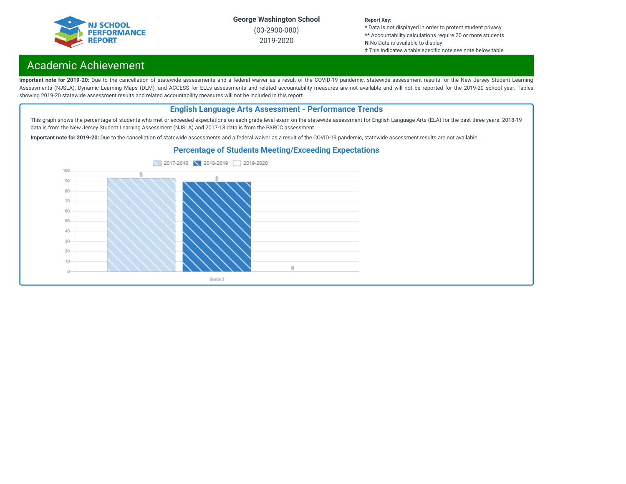

(03-2900-080) 2019-2020

#### **Report Key:**

**\*** Data is not displayed in order to protect student privacy **\*\*** Accountability calculations require 20 or more students **N** No Data is available to display

**†** This indicates a table specific note, see note below table

# Academic Achievement

Important note for 2019-20: Due to the cancellation of statewide assessments and a federal waiver as a result of the COVID-19 pandemic, statewide assessment results for the New Jersey Student Learning Assessments (NJSLA), Dynamic Learning Maps (DLM), and ACCESS for ELLs assessments and related accountability measures are not available and will not be reported for the 2019-20 school year. Tables showing 2019-20 statewide assessment results and related accountability measures will not be included in this report.

# **English Language Arts Assessment - Performance Trends**

This graph shows the percentage of students who met or exceeded expectations on each grade level exam on the statewide assessment for English Language Arts (ELA) for the past three years. 2018-19 data is from the New Jersey Student Learning Assessment (NJSLA) and 2017-18 data is from the PARCC assessment.

**Important note for 2019-20:** Due to the cancellation of statewide assessments and a federal waiver as a result of the COVID-19 pandemic, statewide assessment results are not available.



### **Percentage of Students Meeting/Exceeding Expectations**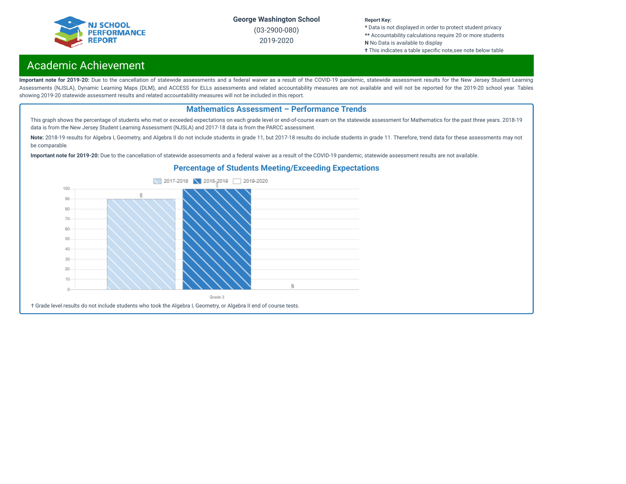

(03-2900-080) 2019-2020

#### **Report Key:**

**\*** Data is not displayed in order to protect student privacy **\*\*** Accountability calculations require 20 or more students **N** No Data is available to display

**†** This indicates a table specific note,see note below table

# Academic Achievement

Important note for 2019-20: Due to the cancellation of statewide assessments and a federal waiver as a result of the COVID-19 pandemic, statewide assessment results for the New Jersey Student Learning Assessments (NJSLA), Dynamic Learning Maps (DLM), and ACCESS for ELLs assessments and related accountability measures are not available and will not be reported for the 2019-20 school year. Tables showing 2019-20 statewide assessment results and related accountability measures will not be included in this report.

### **Mathematics Assessment – Performance Trends**

This graph shows the percentage of students who met or exceeded expectations on each grade level or end-of-course exam on the statewide assessment for Mathematics for the past three years. 2018-19 data is from the New Jersey Student Learning Assessment (NJSLA) and 2017-18 data is from the PARCC assessment.

Note: 2018-19 results for Algebra I, Geometry, and Algebra II do not include students in grade 11, but 2017-18 results do include students in grade 11. Therefore, trend data for these assessments may not be comparable.

**Important note for 2019-20:** Due to the cancellation of statewide assessments and a federal waiver as a result of the COVID-19 pandemic, statewide assessment results are not available.

### **Percentage of Students Meeting/Exceeding Expectations**

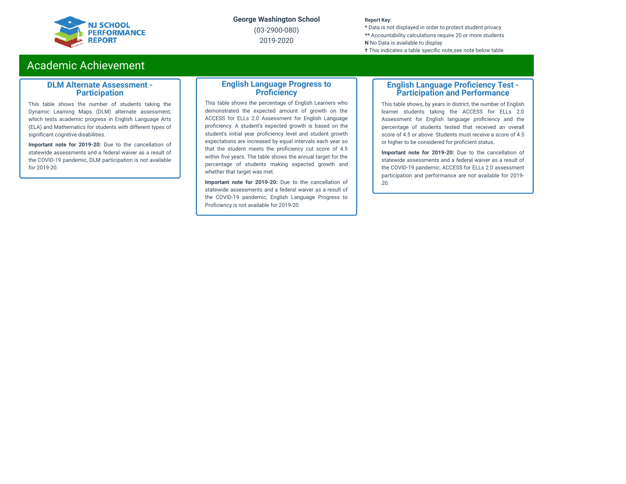

(03-2900-080) 2019-2020

#### **Report Key:**

**\*** Data is not displayed in order to protect student privacy **\*\*** Accountability calculations require 20 or more students **N** No Data is available to display **†** This indicates a table specific note, see note below table

# Academic Achievement

### **DLM Alternate Assessment - Participation**

This table shows the number of students taking the Dynamic Learning Maps (DLM) alternate assessment, which tests academic progress in English Language Arts (ELA) and Mathematics for students with different types of significant cognitive disabilities.

**Important note for 2019-20:** Due to the cancellation of statewide assessments and a federal waiver as a result of the COVID-19 pandemic, DLM participation is not available for 2019-20.

### **English Language Progress to Proficiency**

This table shows the percentage of English Learners who demonstrated the expected amount of growth on the ACCESS for ELLs 2.0 Assessment for English Language proficiency. A student's expected growth is based on the student's initial year proficiency level and student growth expectations are increased by equal intervals each year so that the student meets the proficiency cut score of 4.5 within five years. The table shows the annual target for the percentage of students making expected growth and whether that target was met.

**Important note for 2019-20:** Due to the cancellation of statewide assessments and a federal waiver as a result of the COVID-19 pandemic, English Language Progress to Proficiency is not available for 2019-20.

### **English Language Proficiency Test -Participation and Performance**

This table shows, by years in district, the number of English learner students taking the ACCESS for ELLs 2.0 Assessment for English language proficiency and the percentage of students tested that received an overall score of 4.5 or above. Students must receive a score of 4.5 or higher to be considered for proficient status.

**Important note for 2019-20:** Due to the cancellation of statewide assessments and a federal waiver as a result of the COVID-19 pandemic, ACCESS for ELLs 2.0 assessment participation and performance are not available for 2019- 20.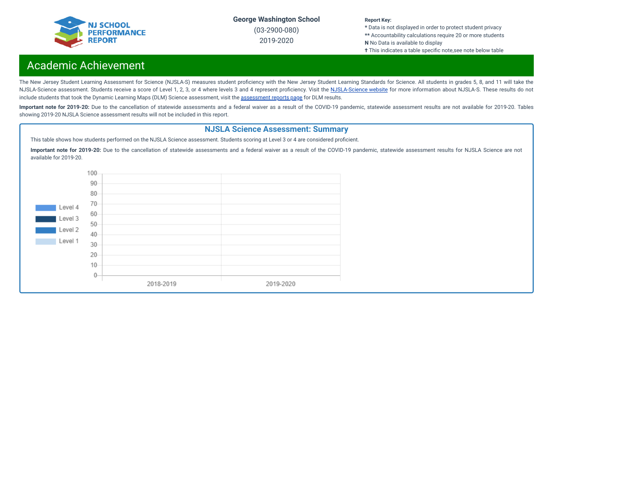

(03-2900-080) 2019-2020

#### **Report Key:**

**\*** Data is not displayed in order to protect student privacy **\*\*** Accountability calculations require 20 or more students **N** No Data is available to display

**†** This indicates a table specific note, see note below table

# Academic Achievement

The New Jersey Student Learning Assessment for Science (NJSLA-S) measures student proficiency with the New Jersey Student Learning Standards for Science. All students in grades 5, 8, and 11 will take the [NJSLA-Science](https://www.nj.gov/education/assessment/sla/science/) assessment. Students receive a score of Level 1, 2, 3, or 4 where levels 3 and 4 represent proficiency. Visit the NJSLA-Science website for more information about NJSLA-S. These results do not include students that took the Dynamic Learning Maps (DLM) Science [assessment](https://www.nj.gov/education/schools/achievement/), visit the assessment reports page for DLM results.

Important note for 2019-20: Due to the cancellation of statewide assessments and a federal waiver as a result of the COVID-19 pandemic, statewide assessment results are not available for 2019-20. Tables showing 2019-20 NJSLA Science assessment results will not be included in this report.

### **NJSLA Science Assessment: Summary**

This table shows how students performed on the NJSLA Science assessment. Students scoring at Level 3 or 4 are considered proficient.

**Important note for 2019-20:** Due to the cancellation of statewide assessments and a federal waiver as a result of the COVID-19 pandemic, statewide assessment results for NJSLA Science are not available for 2019-20.

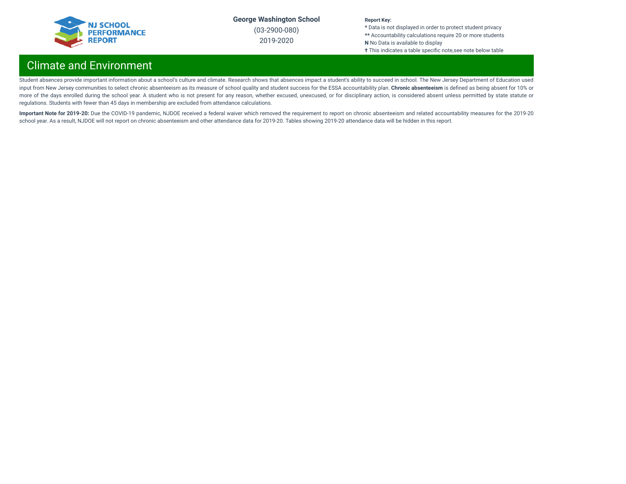

(03-2900-080) 2019-2020

#### **Report Key:**

**\*** Data is not displayed in order to protect student privacy **\*\*** Accountability calculations require 20 or more students **N** No Data is available to display **†** This indicates a table specific note,see note below table

# Climate and Environment

Student absences provide important information about a school's culture and climate. Research shows that absences impact a student's ability to succeed in school. The New Jersey Department of Education used input from New Jersey communities to select chronic absenteeism as its measure of school quality and student success for the ESSA accountability plan. **Chronic absenteeism** is dened as being absent for 10% or more of the days enrolled during the school year. A student who is not present for any reason, whether excused, unexcused, or for disciplinary action, is considered absent unless permitted by state statute or regulations. Students with fewer than 45 days in membership are excluded from attendance calculations.

Important Note for 2019-20: Due the COVID-19 pandemic, NJDOE received a federal waiver which removed the requirement to report on chronic absenteeism and related accountability measures for the 2019-20 school year. As a result, NJDOE will not report on chronic absenteeism and other attendance data for 2019-20. Tables showing 2019-20 attendance data will be hidden in this report.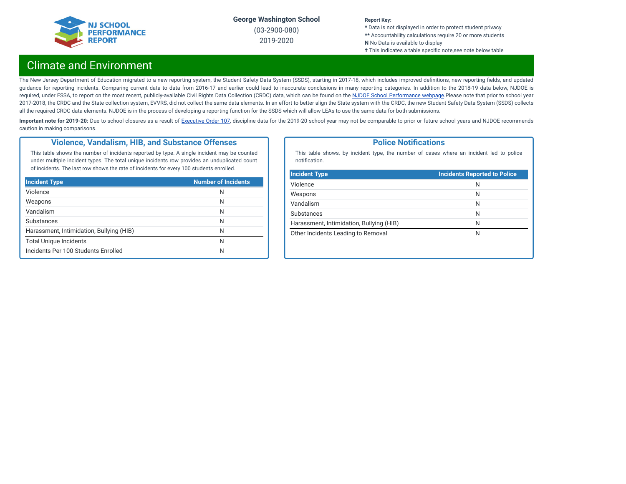

(03-2900-080) 2019-2020

#### **Report Key:**

**\*** Data is not displayed in order to protect student privacy **\*\*** Accountability calculations require 20 or more students **N** No Data is available to display **†** This indicates a table specific note, see note below table

# Climate and Environment

The New Jersey Department of Education migrated to a new reporting system, the Student Safety Data System (SSDS), starting in 2017-18, which includes improved definitions, new reporting fields, and updated guidance for reporting incidents. Comparing current data to data from 2016-17 and earlier could lead to inaccurate conclusions in many reporting categories. In addition to the 2018-19 data below, NJDOE is required, under ESSA, to report on the most recent, publicly-available Civil Rights Data Collection (CRDC) data, which can be found on the NJDOE School [Performance](https://www.nj.gov/education/schoolperformance/climate/) webpage.Please note that prior to school year 2017-2018, the CRDC and the State collection system, EVVRS, did not collect the same data elements. In an effort to better align the State system with the CRDC, the new Student Safety Data System (SSDS) collects all the required CRDC data elements. NJDOE is in the process of developing a reporting function for the SSDS which will allow LEAs to use the same data for both submissions.

Important note for 2019-20: Due to school closures as a result of [Executive](https://nj.gov/infobank/eo/056murphy/pdf/EO-107.pdf) Order 107, discipline data for the 2019-20 school year may not be comparable to prior or future school years and NJDOE recommends caution in making comparisons.

### **Violence, Vandalism, HIB, and Substance Offenses**

This table shows the number of incidents reported by type. A single incident may be counted under multiple incident types. The total unique incidents row provides an unduplicated count of incidents. The last row shows the rate of incidents for every 100 students enrolled.

| <b>Incident Type</b>                     | <b>Number of Incidents</b> |
|------------------------------------------|----------------------------|
| Violence                                 | N                          |
| Weapons                                  | N                          |
| Vandalism                                | N                          |
| Substances                               | N                          |
| Harassment, Intimidation, Bullying (HIB) | N                          |
| <b>Total Unique Incidents</b>            | N                          |
| Incidents Per 100 Students Enrolled      | N                          |

### **Police Notifications**

This table shows, by incident type, the number of cases where an incident led to police notification.

| <b>Incident Type</b>                     | <b>Incidents Reported to Police</b> |
|------------------------------------------|-------------------------------------|
| Violence                                 | N                                   |
| Weapons                                  | N                                   |
| Vandalism                                | N                                   |
| Substances                               | N                                   |
| Harassment, Intimidation, Bullying (HIB) | N                                   |
| Other Incidents Leading to Removal       | N                                   |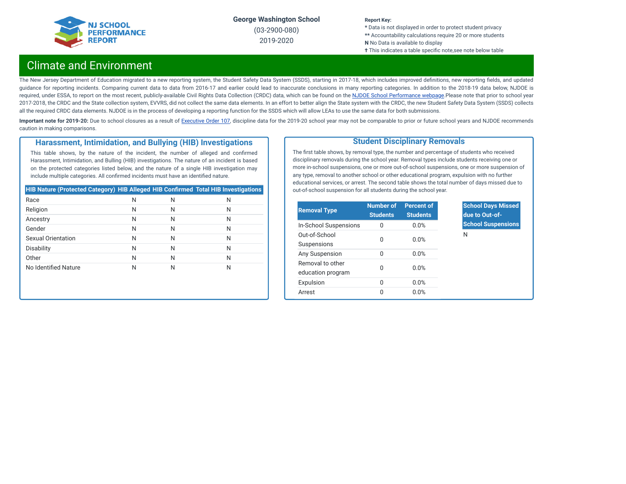

(03-2900-080) 2019-2020

#### **Report Key:**

**\*** Data is not displayed in order to protect student privacy **\*\*** Accountability calculations require 20 or more students **N** No Data is available to display **†** This indicates a table specific note,see note below table

# Climate and Environment

The New Jersey Department of Education migrated to a new reporting system, the Student Safety Data System (SSDS), starting in 2017-18, which includes improved definitions, new reporting fields, and updated guidance for reporting incidents. Comparing current data to data from 2016-17 and earlier could lead to inaccurate conclusions in many reporting categories. In addition to the 2018-19 data below, NJDOE is required, under ESSA, to report on the most recent, publicly-available Civil Rights Data Collection (CRDC) data, which can be found on the NJDOE School [Performance](https://www.nj.gov/education/schoolperformance/climate/) webpage.Please note that prior to school year 2017-2018, the CRDC and the State collection system, EVVRS, did not collect the same data elements. In an effort to better align the State system with the CRDC, the new Student Safety Data System (SSDS) collects all the required CRDC data elements. NJDOE is in the process of developing a reporting function for the SSDS which will allow LEAs to use the same data for both submissions.

Important note for 2019-20: Due to school closures as a result of [Executive](https://nj.gov/infobank/eo/056murphy/pdf/EO-107.pdf) Order 107, discipline data for the 2019-20 school year may not be comparable to prior or future school years and NJDOE recommends caution in making comparisons.

### **Harassment, Intimidation, and Bullying (HIB) Investigations**

This table shows, by the nature of the incident, the number of alleged and confirmed Harassment, Intimidation, and Bulling (HIB) investigations. The nature of an incident is based on the protected categories listed below, and the nature of a single HIB investigation may include multiple categories. All confirmed incidents must have an identified nature.

| <b>HIB Nature (Protected Category) HIB Alleged HIB Confirmed Total HIB Investigations</b> |   |   |   |
|-------------------------------------------------------------------------------------------|---|---|---|
| Race                                                                                      | N | N | Ν |
| Religion                                                                                  | N | N | Ν |
| Ancestry                                                                                  | N | N | Ν |
| Gender                                                                                    | N | N | Ν |
| <b>Sexual Orientation</b>                                                                 | N | N | Ν |
| <b>Disability</b>                                                                         | N | N | Ν |
| Other                                                                                     | N | N | Ν |
| No Identified Nature                                                                      | Ν | N | Ν |

### **Student Disciplinary Removals**

The first table shows, by removal type, the number and percentage of students who received disciplinary removals during the school year. Removal types include students receiving one or more in-school suspensions, one or more out-of-school suspensions, one or more suspension of any type, removal to another school or other educational program, expulsion with no further educational services, or arrest. The second table shows the total number of days missed due to out-of-school suspension for all students during the school year.

| <b>Removal Type</b>                   | <b>Number of</b><br><b>Students</b> | <b>Percent of</b><br><b>Students</b> |
|---------------------------------------|-------------------------------------|--------------------------------------|
| In-School Suspensions                 | $\Omega$                            | 0.0%                                 |
| Out-of-School<br>Suspensions          | O                                   | 0.0%                                 |
| Any Suspension                        | $\Omega$                            | 0.0%                                 |
| Removal to other<br>education program | O                                   | 0.0%                                 |
| Expulsion                             | U                                   | 0.0%                                 |
| Arrest                                | O                                   | 0.0%                                 |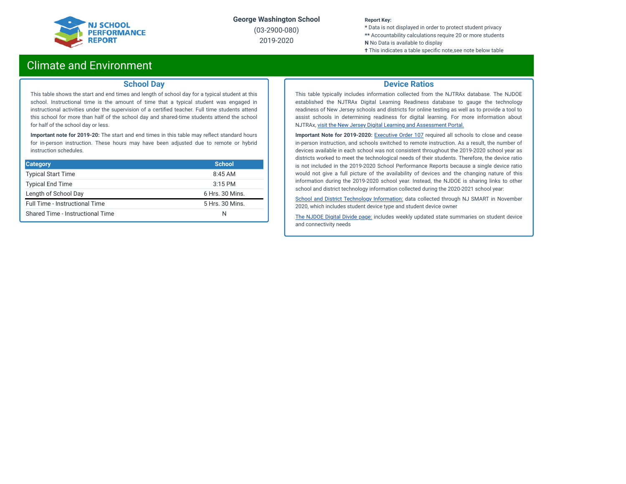

(03-2900-080) 2019-2020

#### **Report Key:**

**\*** Data is not displayed in order to protect student privacy **\*\*** Accountability calculations require 20 or more students **N** No Data is available to display

**†** This indicates a table specific note, see note below table

# Climate and Environment

### **School Day**

This table shows the start and end times and length of school day for a typical student at this school. Instructional time is the amount of time that a typical student was engaged in instructional activities under the supervision of a certified teacher. Full time students attend this school for more than half of the school day and shared-time students attend the school for half of the school day or less.

**Important note for 2019-20:** The start and end times in this table may reflect standard hours for in-person instruction. These hours may have been adjusted due to remote or hybrid instruction schedules.

| <b>Category</b>                  | <b>School</b>   |
|----------------------------------|-----------------|
| <b>Typical Start Time</b>        | $8:45$ AM       |
| <b>Typical End Time</b>          | $3:15$ PM       |
| Length of School Day             | 6 Hrs. 30 Mins. |
| Full Time - Instructional Time   | 5 Hrs. 30 Mins. |
| Shared Time - Instructional Time | N               |

### **Device Ratios**

This table typically includes information collected from the NJTRAx database. The NJDOE established the NJTRAx Digital Learning Readiness database to gauge the technology readiness of New Jersey schools and districts for online testing as well as to provide a tool to assist schools in determining readiness for digital learning. For more information about NJTRAx, visit the New Jersey Digital Learning and [Assessment](https://njdigitallearning.org/njtrax/) Portal.

**Important Note for 2019-2020:** [Executive](https://nj.gov/infobank/eo/056murphy/pdf/EO-107.pdf) Order 107 required all schools to close and cease in-person instruction, and schools switched to remote instruction. As a result, the number of devices available in each school was not consistent throughout the 2019-2020 school year as districts worked to meet the technological needs of their students. Therefore, the device ratio is not included in the 2019-2020 School Performance Reports because a single device ratio would not give a full picture of the availability of devices and the changing nature of this information during the 2019-2020 school year. Instead, the NJDOE is sharing links to other school and district technology information collected during the 2020-2021 school year:

School and District Technology [Information:](https://www.state.nj.us/education/schoolperformance/climate/docs/DistrictReportedStudentDeviceInformation.xlsx) data collected through NJ SMART in November 2020, which includes student device type and student device owner

The [NJDOE](https://www.nj.gov/education/grants/digitaldivide/techsurveys.shtml) Digital Divide page: includes weekly updated state summaries on student device and connectivity needs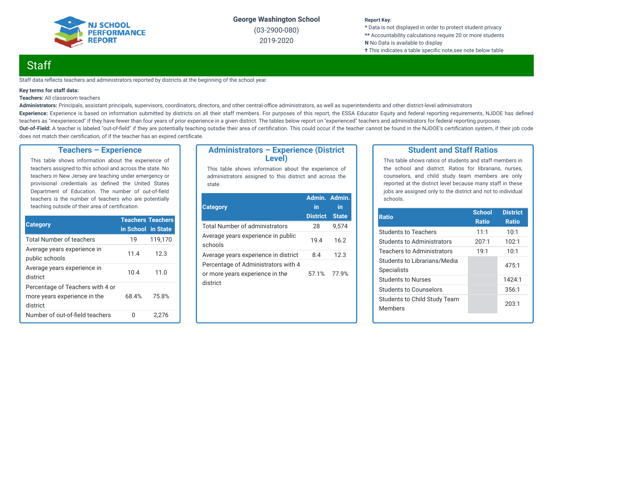

(03-2900-080) 2019-2020

#### **Report Key:**

**\*** Data is not displayed in order to protect student privacy **\*\*** Accountability calculations require 20 or more students **N** No Data is available to display **†** This indicates a table specific note, see note below table

# **Staff**

Staff data reflects teachers and administrators reported by districts at the beginning of the school year.

#### **Key terms for staff data:**

#### **Teachers:** All classroom teachers

Administrators: Principals, assistant principals, supervisors, coordinators, directors, and other central-office administrators, as well as superintendents and other district-level administrators Experience: Experience is based on information submitted by districts on all their staff members. For purposes of this report, the ESSA Educator Equity and federal reporting requirements, NJDOE has defined teachers as "inexperienced" if they have fewer than four years of prior experience in a given district. The tables below report on "experienced" teachers and administrators for federal reporting purposes. Out-of-Field: A teacher is labeled "out-of-field" if they are potentially teaching outsdie their area of certification. This could occur if the teacher cannot be found in the NJDOE's certification system, if their job code does not match their certification, of if the teacher has an expired certificate.

### **Teachers – Experience**

This table shows information about the experience of teachers assigned to this school and across the state. No teachers in New Jersey are teaching under emergency or provisional credentials as defined the United States Department of Education. The number of out-of-field teachers is the number of teachers who are potentially teaching outside of their area of certification.

| <b>Category</b>                                                              | <b>Teachers Teachers</b> |         |
|------------------------------------------------------------------------------|--------------------------|---------|
|                                                                              | in School in State       |         |
| <b>Total Number of teachers</b>                                              | 19                       | 119.170 |
| Average years experience in<br>public schools                                | 11.4                     | 12.3    |
| Average years experience in<br>district                                      | 10.4                     | 11.0    |
| Percentage of Teachers with 4 or<br>more years experience in the<br>district | 68.4%                    | 75.8%   |
| Number of out-of-field teachers                                              |                          | 2.276   |

### **Administrators – Experience (District Level)**

This table shows information about the experience of administrators assigned to this district and across the state.

| <b>Category</b>                                                                    | Admin. Admin.<br>in<br><b>District</b> | in<br><b>State</b> |
|------------------------------------------------------------------------------------|----------------------------------------|--------------------|
| Total Number of administrators                                                     | 28                                     | 9.574              |
| Average years experience in public<br>schools                                      | 19.4                                   | 16.2               |
| Average years experience in district                                               | 8.4                                    | 12.3               |
| Percentage of Administrators with 4<br>or more years experience in the<br>district | 57.1%                                  | 77.9%              |

### **Student and Staff Ratios**

This table shows ratios of students and staff members in the school and district. Ratios for librarians, nurses, counselors, and child study team members are only reported at the district level because many staff in these jobs are assigned only to the district and not to individual schools.

| <b>Ratio</b>                                       | <b>School</b><br><b>Ratio</b> | <b>District</b><br>Ratio |
|----------------------------------------------------|-------------------------------|--------------------------|
| <b>Students to Teachers</b>                        | 11:1                          | 10:1                     |
| Students to Administrators                         | 207:1                         | 102:1                    |
| <b>Teachers to Administrators</b>                  | 19:1                          | 10:1                     |
| Students to Librarians/Media<br><b>Specialists</b> |                               | 475:1                    |
| <b>Students to Nurses</b>                          |                               | 1424:1                   |
| Students to Counselors                             |                               | 356:1                    |
| Students to Child Study Team<br><b>Members</b>     |                               | 203:1                    |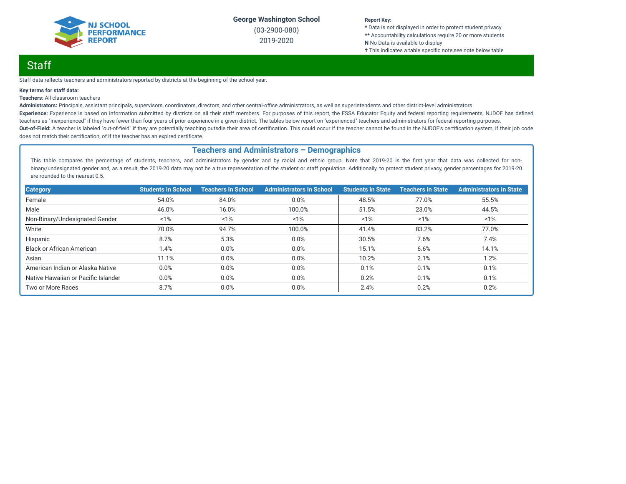

(03-2900-080) 2019-2020

#### **Report Key:**

**\*** Data is not displayed in order to protect student privacy **\*\*** Accountability calculations require 20 or more students **N** No Data is available to display **†** This indicates a table specific note, see note below table

# Staff

Staff data reflects teachers and administrators reported by districts at the beginning of the school year.

#### **Key terms for staff data:**

#### **Teachers:** All classroom teachers

Administrators: Principals, assistant principals, supervisors, coordinators, directors, and other central-office administrators, as well as superintendents and other district-level administrators Experience: Experience is based on information submitted by districts on all their staff members. For purposes of this report, the ESSA Educator Equity and federal reporting requirements, NJDOE has defined teachers as "inexperienced" if they have fewer than four years of prior experience in a given district. The tables below report on "experienced" teachers and administrators for federal reporting purposes. Out-of-Field: A teacher is labeled "out-of-field" if they are potentially teaching outsdie their area of certification. This could occur if the teacher cannot be found in the NJDOE's certification system, if their job code does not match their certification, of if the teacher has an expired certificate.

### **Teachers and Administrators – Demographics**

This table compares the percentage of students, teachers, and administrators by gender and by racial and ethnic group. Note that 2019-20 is the first year that data was collected for nonbinary/undesignated gender and, as a result, the 2019-20 data may not be a true representation of the student or staff population. Additionally, to protect student privacy, gender percentages for 2019-20 are rounded to the nearest 0.5.

| <b>Category</b>                     | <b>Students in School</b> | <b>Teachers in School</b> | <b>Administrators in School</b> | <b>Students in State</b> | <b>Teachers in State</b> | <b>Administrators in State</b> |
|-------------------------------------|---------------------------|---------------------------|---------------------------------|--------------------------|--------------------------|--------------------------------|
| Female                              | 54.0%                     | 84.0%                     | 0.0%                            | 48.5%                    | 77.0%                    | 55.5%                          |
| Male                                | 46.0%                     | 16.0%                     | 100.0%                          | 51.5%                    | 23.0%                    | 44.5%                          |
| Non-Binary/Undesignated Gender      | 1%                        | 1%                        | 1%                              | $1\%$                    | 1%                       | 1%                             |
| White                               | 70.0%                     | 94.7%                     | 100.0%                          | 41.4%                    | 83.2%                    | 77.0%                          |
| Hispanic                            | 8.7%                      | 5.3%                      | 0.0%                            | 30.5%                    | 7.6%                     | 7.4%                           |
| <b>Black or African American</b>    | 1.4%                      | 0.0%                      | 0.0%                            | 15.1%                    | 6.6%                     | 14.1%                          |
| Asian                               | 11.1%                     | 0.0%                      | 0.0%                            | 10.2%                    | 2.1%                     | 1.2%                           |
| American Indian or Alaska Native    | 0.0%                      | 0.0%                      | 0.0%                            | 0.1%                     | 0.1%                     | 0.1%                           |
| Native Hawaiian or Pacific Islander | 0.0%                      | 0.0%                      | 0.0%                            | 0.2%                     | 0.1%                     | 0.1%                           |
| Two or More Races                   | 8.7%                      | 0.0%                      | 0.0%                            | 2.4%                     | 0.2%                     | 0.2%                           |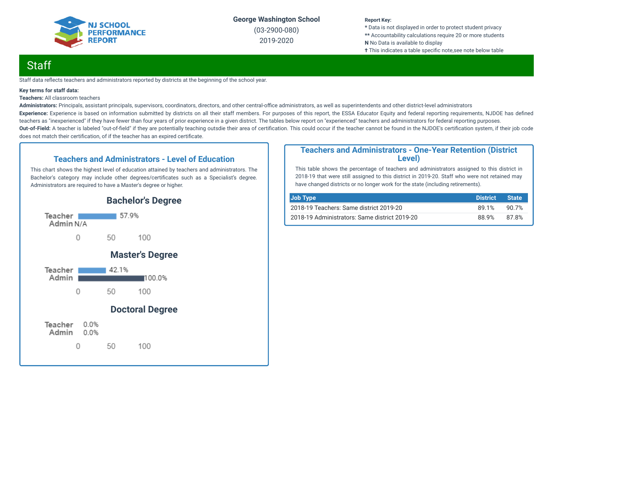

(03-2900-080) 2019-2020

#### **Report Key:**

**\*** Data is not displayed in order to protect student privacy **\*\*** Accountability calculations require 20 or more students **N** No Data is available to display **†** This indicates a table specific note, see note below table

# **Staff**

Staff data reflects teachers and administrators reported by districts at the beginning of the school year.

#### **Key terms for staff data:**

**Teachers:** All classroom teachers

Administrators: Principals, assistant principals, supervisors, coordinators, directors, and other central-office administrators, as well as superintendents and other district-level administrators Experience: Experience is based on information submitted by districts on all their staff members. For purposes of this report, the ESSA Educator Equity and federal reporting requirements, NJDOE has defined teachers as "inexperienced" if they have fewer than four years of prior experience in a given district. The tables below report on "experienced" teachers and administrators for federal reporting purposes. Out-of-Field: A teacher is labeled "out-of-field" if they are potentially teaching outsdie their area of certification. This could occur if the teacher cannot be found in the NJDOE's certification system, if their job code does not match their certification, of if the teacher has an expired certificate.

### **Teachers and Administrators - Level of Education**

This chart shows the highest level of education attained by teachers and administrators. The Bachelor's category may include other degrees/certificates such as a Specialist's degree. Administrators are required to have a Master's degree or higher.



### **Teachers and Administrators - One-Year Retention (District Level)**

This table shows the percentage of teachers and administrators assigned to this district in 2018-19 that were still assigned to this district in 2019-20. Staff who were not retained may have changed districts or no longer work for the state (including retirements).

| Job Type                                      | <b>District</b> | <b>State</b> |
|-----------------------------------------------|-----------------|--------------|
| 2018-19 Teachers: Same district 2019-20       | 89.1%           | 90.7%        |
| 2018-19 Administrators: Same district 2019-20 | 88.9%           | 87.8%        |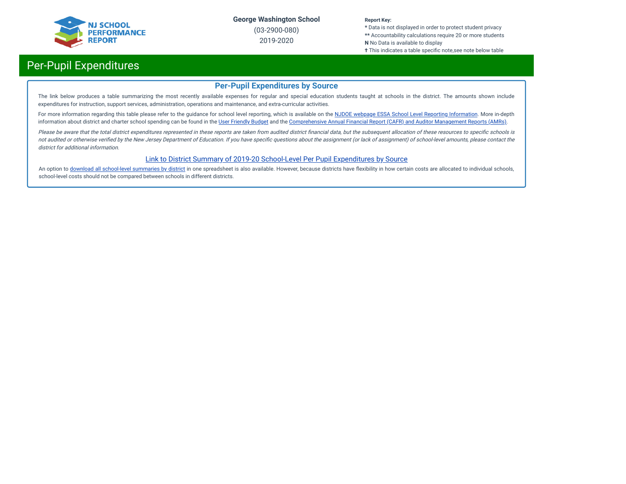

(03-2900-080) 2019-2020

#### **Report Key:**

**\*** Data is not displayed in order to protect student privacy **\*\*** Accountability calculations require 20 or more students **N** No Data is available to display

**†** This indicates a table specific note,see note below table

# Per-Pupil Expenditures

### **Per-Pupil Expenditures by Source**

The link below produces a table summarizing the most recently available expenses for regular and special education students taught at schools in the district. The amounts shown include expenditures for instruction, support services, administration, operations and maintenance, and extra-curricular activities.

For more information regarding this table please refer to the guidance for school level reporting, which is available on the NJDOE webpage ESSA School Level Reporting [Information](https://www.nj.gov/education/finance/fp/af/essa.shtml). More in-depth information about district and charter school spending can be found in the User [Friendly](https://www.nj.gov/education/finance/fp/ufb/) Budget and the [Comprehensive](https://www.nj.gov/education/finance/fp/cafr/search/) Annual Financial Report (CAFR) and Auditor Management Reports (AMRs).

Please be aware that the total district expenditures represented in these reports are taken from audited district financial data, but the subsequent allocation of these resources to specific schools is not audited or otherwise verified by the New Jersey Department of Education. If you have specific questions about the assignment (or lack of assignment) of school-level amounts, please contact the district for additional information.

### [Link to District Summary of 2019-20 School-Level Per Pupil Expenditures by Source](https://homeroom4.doe.state.nj.us/audsum/PpeReport?&did=2900&fileformat=html&reportname=PERFORMREPORT&fy=20)

An option to download all [school-level](https://homeroom4.doe.state.nj.us/audsum/PpeReport?&did=9999&fileformat=html&reportname=PERFORMREPORT&fy=20) summaries by district in one spreadsheet is also available. However, because districts have flexibility in how certain costs are allocated to individual schools, school-level costs should not be compared between schools in different districts.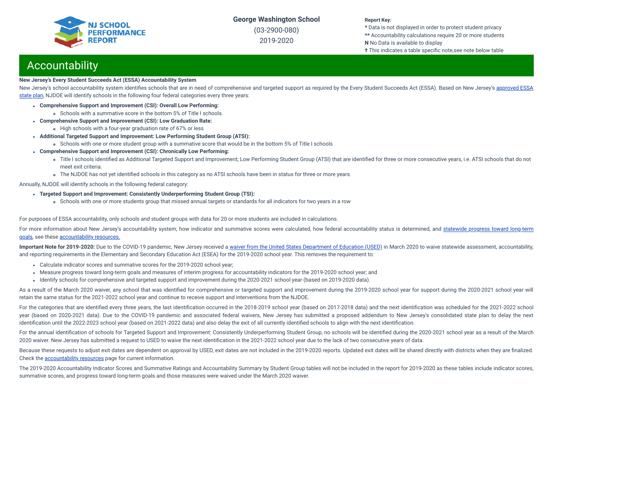(03-2900-080) 2019-2020

#### **Report Key:**

**\*** Data is not displayed in order to protect student privacy **\*\*** Accountability calculations require 20 or more students **N** No Data is available to display

**†** This indicates a table specific note,see note below table

# **Accountability**

#### **New Jersey's Every Student Succeeds Act (ESSA) Accountability System**

New Jersey's school accountability system identifies schools that are in need of [comprehensive](https://www.nj.gov/education/ESSA/plan/plan.pdf) and targeted support as required by the Every Student Succeeds Act (ESSA). Based on New Jersey's approved ESSA state plan, NJDOE will identify schools in the following four federal categories every three years:

- **Comprehensive Support and Improvement (CSI): Overall Low Performing:**
	- Schools with a summative score in the bottom 5% of Title I schools.
- **Comprehensive Support and Improvement (CSI): Low Graduation Rate:**
- High schools with a four-year graduation rate of 67% or less
- **Additional Targeted Support and Improvement: Low Performing Student Group (ATSI):**
	- Schools with one or more student group with a summative score that would be in the bottom 5% of Title I schools
- **Comprehensive Support and Improvement (CSI): Chronically Low Performing:**
	- o Title I schools identified as Additional Targeted Support and Improvement; Low Performing Student Group (ATSI) that are identified for three or more consecutive years, i.e. ATSI schools that do not meet exit criteria.
	- The NJDOE has not yet identified schools in this category as no ATSI schools have been in status for three or more years.

Annually, NJDOE will identify schools in the following federal category:

- **Targeted Support and Improvement: Consistently Underperforming Student Group (TSI):**
	- Schools with one or more students group that missed annual targets or standards for all indicators for two years in a row

For purposes of ESSA accountability, only schools and student groups with data for 20 or more students are included in calculations.

For more information about New Jersey's [accountability](https://www.state.nj.us/education/title1/accountability/progress/19/2018-19%20Statewide%20Progress%20toward%20Long-Term%20Goals.pdf) system, how indicator and summative scores were calculated, how federal accountability status is determined, and statewide progress toward long-term goals, see these [accountability](https://www.state.nj.us/education/title1/accountability/progress/20) resources.

Important Note for 2019-2020: Due to the COVID-19 pandemic, New Jersey received a waiver from the United States [Department](https://www.nj.gov/education/covid19/news/docs/Accountability%20and%20School%20Identification,%20and%20Reporting%20Requirement%20Waiver%20Word.pdf) of Education (USED) in March 2020 to waive statewide assessment, accountability, and reporting requirements in the Elementary and Secondary Education Act (ESEA) for the 2019-2020 school year. This removes the requirement to:

- Calculate indicator scores and summative scores for the 2019-2020 school year;
- Measure progress toward long-term goals and measures of interim progress for accountability indicators for the 2019-2020 school year; and
- Identify schools for comprehensive and targeted support and improvement during the 2020-2021 school year (based on 2019-2020 data).

As a result of the March 2020 waiver, any school that was identified for comprehensive or targeted support and improvement during the 2019-2020 school year for support during the 2020-2021 school year will retain the same status for the 2021-2022 school year and continue to receive support and interventions from the NJDOE.

For the categories that are identified every three years, the last identification occurred in the 2018-2019 school year (based on 2017-2018 data) and the next identification was scheduled for the 2021-2022 school year (based on 2020-2021 data). Due to the COVID-19 pandemic and associated federal waivers, New Jersey has submitted a proposed addendum to New Jersey's consolidated state plan to delay the next identification until the 2022-2023 school year (based on 2021-2022 data) and also delay the exit of all currently identified schools to align with the next identification.

For the annual identification of schools for Targeted Support and Improvement: Consistently Underperforming Student Group, no schools will be identified during the 2020-2021 school year as a result of the March 2020 waiver. New Jersey has submitted a request to USED to waive the next identification in the 2021-2022 school year due to the lack of two consecutive years of data.

Because these requests to adjust exit dates are dependent on approval by USED, exit dates are not included in the 2019-2020 reports. Updated exit dates will be shared directly with districts when they are finalized. Check the [accountability](https://www.state.nj.us/education/title1/accountability/progress/20) resources page for current information.

The 2019-2020 Accountability Indicator Scores and Summative Ratings and Accountability Summary by Student Group tables will not be included in the report for 2019-2020 as these tables include indicator scores, summative scores, and progress toward long-term goals and those measures were waived under the March 2020 waiver.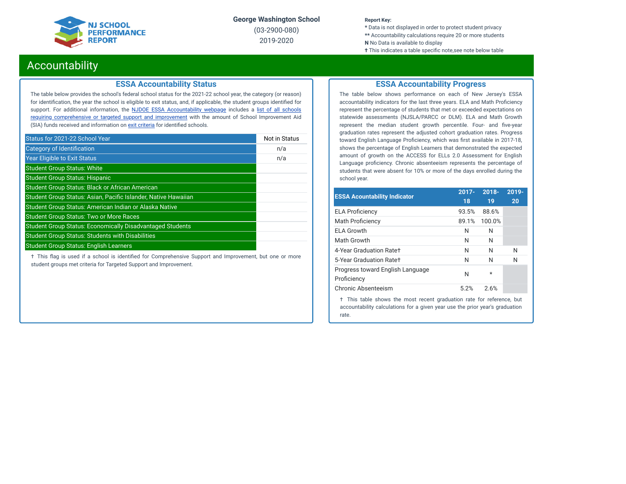

(03-2900-080) 2019-2020

#### **Report Key:**

**\*** Data is not displayed in order to protect student privacy **\*\*** Accountability calculations require 20 or more students **N** No Data is available to display

**†** This indicates a table specific note, see note below table

# Accountability

### **ESSA Accountability Status**

The table below provides the school's federal school status for the 2021-22 school year, the category (or reason) for identification, the year the school is eligible to exit status, and, if applicable, the student groups identified for support. For additional information, the **NJDOE ESSA [Accountability](https://www.state.nj.us/education/title1/accountability/progress/20/) webpage** includes a list of all schools requiring [comprehensive](https://www.state.nj.us/education/title1/accountability/progress/19/CAP%20Comprehensive_Targeted_Schools.xlsx) or targeted support and improvement with the amount of School Improvement Aid (SIA) funds received and information on exit [criteria](https://www.state.nj.us/education/title1/accountability/progress/20/ESSAExitCriteriaDocument.pdf) for identified schools.

| Status for 2021-22 School Year                                   | Not in Status |
|------------------------------------------------------------------|---------------|
| Category of Identification                                       | n/a           |
| <b>Year Eligible to Exit Status</b>                              | n/a           |
| <b>Student Group Status: White</b>                               |               |
| <b>Student Group Status: Hispanic</b>                            |               |
| <b>Student Group Status: Black or African American</b>           |               |
| Student Group Status: Asian, Pacific Islander, Native Hawaiian   |               |
| Student Group Status: American Indian or Alaska Native           |               |
| <b>Student Group Status: Two or More Races</b>                   |               |
| <b>Student Group Status: Economically Disadvantaged Students</b> |               |
| <b>Student Group Status: Students with Disabilities</b>          |               |
| <b>Student Group Status: English Learners</b>                    |               |

 $\dagger$  This flag is used if a school is identified for Comprehensive Support and Improvement, but one or more student groups met criteria for Targeted Support and Improvement.

### **ESSA Accountability Progress**

The table below shows performance on each of New Jersey's ESSA accountability indicators for the last three years. ELA and Math Proficiency represent the percentage of students that met or exceeded expectations on statewide assessments (NJSLA/PARCC or DLM). ELA and Math Growth represent the median student growth percentile. Four- and five-year graduation rates represent the adjusted cohort graduation rates. Progress toward English Language Proficiency, which was first available in 2017-18, shows the percentage of English Learners that demonstrated the expected amount of growth on the ACCESS for ELLs 2.0 Assessment for English Language proficiency. Chronic absenteeism represents the percentage of students that were absent for 10% or more of the days enrolled during the school year.

| <b>ESSA Acountability Indicator</b>             | $2017 -$ | $2018 -$ | 2019- |
|-------------------------------------------------|----------|----------|-------|
|                                                 | 18       | 19       | 20    |
| <b>ELA Proficiency</b>                          | 93.5%    | 88.6%    |       |
| <b>Math Proficiency</b>                         | 89.1%    | 100.0%   |       |
| <b>ELA Growth</b>                               | N        | N        |       |
| Math Growth                                     | N        | N        |       |
| 4-Year Graduation Rate+                         | N        | N        | N     |
| 5-Year Graduation Rate+                         | N        | N        | N     |
| Progress toward English Language<br>Proficiency | N        | $^\star$ |       |
| Chronic Absenteeism                             | 5.2%     | 2.6%     |       |
|                                                 |          |          |       |

† This table shows the most recent graduation rate for reference, but accountability calculations for a given year use the prior year's graduation rate.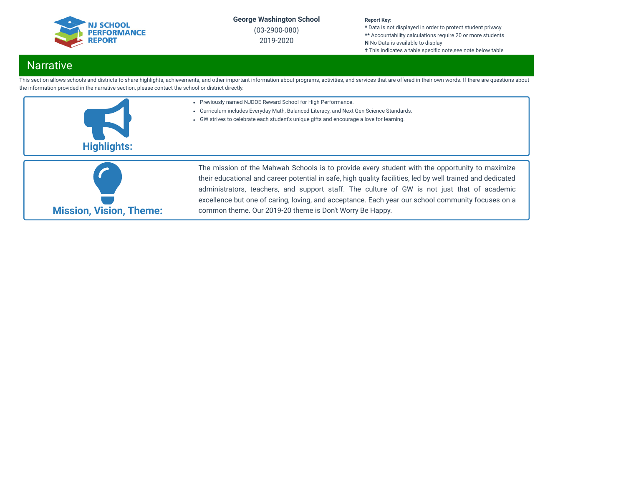

(03-2900-080) 2019-2020

#### **Report Key:**

**\*** Data is not displayed in order to protect student privacy **\*\*** Accountability calculations require 20 or more students **N** No Data is available to display

**†** This indicates a table specific note, see note below table

# **Narrative**

This section allows schools and districts to share highlights, achievements, and other important information about programs, activities, and services that are offered in their own words. If there are questions about the information provided in the narrative section, please contact the school or district directly.



common theme. Our 2019-20 theme is Don't Worry Be Happy.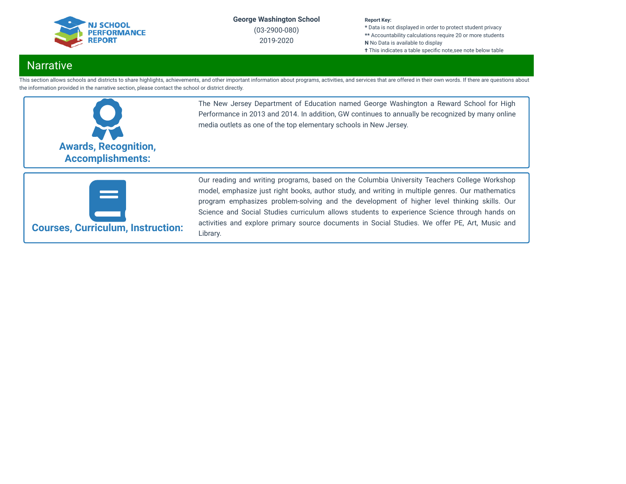

(03-2900-080) 2019-2020

#### **Report Key:**

**\*** Data is not displayed in order to protect student privacy **\*\*** Accountability calculations require 20 or more students **N** No Data is available to display **†** This indicates a table specific note, see note below table

# Narrative

This section allows schools and districts to share highlights, achievements, and other important information about programs, activities, and services that are offered in their own words. If there are questions about the information provided in the narrative section, please contact the school or district directly.



The New Jersey Department of Education named George Washington a Reward School for High Performance in 2013 and 2014. In addition, GW continues to annually be recognized by many online media outlets as one of the top elementary schools in New Jersey.



Our reading and writing programs, based on the Columbia University Teachers College Workshop model, emphasize just right books, author study, and writing in multiple genres. Our mathematics program emphasizes problem-solving and the development of higher level thinking skills. Our Science and Social Studies curriculum allows students to experience Science through hands on activities and explore primary source documents in Social Studies. We offer PE, Art, Music and Library.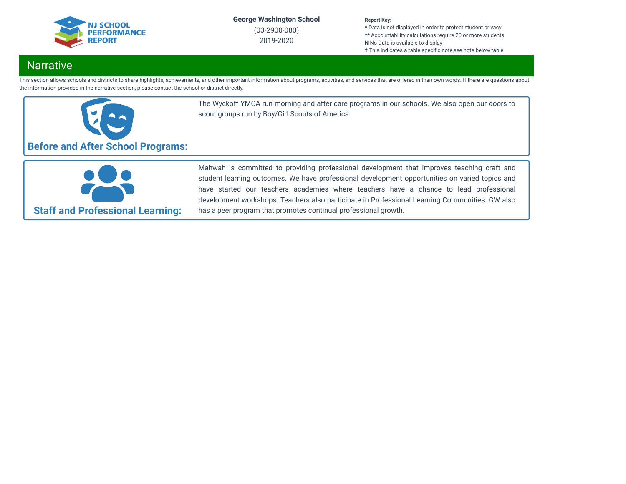

(03-2900-080) 2019-2020

#### **Report Key:**

**\*** Data is not displayed in order to protect student privacy **\*\*** Accountability calculations require 20 or more students **N** No Data is available to display **†** This indicates a table specific note, see note below table

# Narrative

This section allows schools and districts to share highlights, achievements, and other important information about programs, activities, and services that are offered in their own words. If there are questions about the information provided in the narrative section, please contact the school or district directly.



The Wyckoff YMCA run morning and after care programs in our schools. We also open our doors to scout groups run by Boy/Girl Scouts of America.

**Staff and Professional Learning:**

Mahwah is committed to providing professional development that improves teaching craft and student learning outcomes. We have professional development opportunities on varied topics and have started our teachers academies where teachers have a chance to lead professional development workshops. Teachers also participate in Professional Learning Communities. GW also has a peer program that promotes continual professional growth.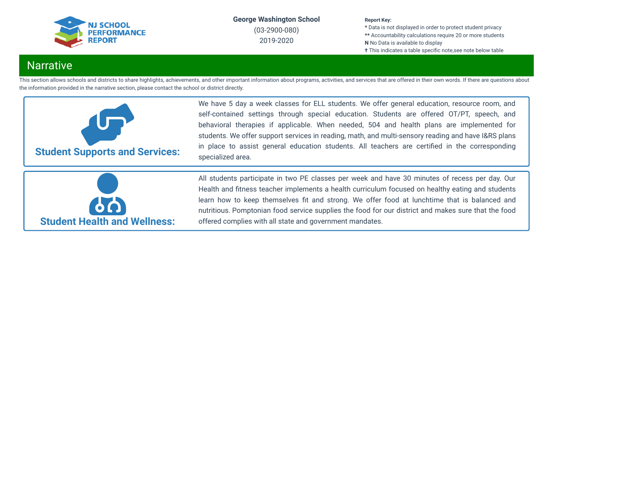

(03-2900-080) 2019-2020

#### **Report Key:**

**\*** Data is not displayed in order to protect student privacy **\*\*** Accountability calculations require 20 or more students **N** No Data is available to display **†** This indicates a table specific note, see note below table

# **Narrative**

This section allows schools and districts to share highlights, achievements, and other important information about programs, activities, and services that are offered in their own words. If there are questions about the information provided in the narrative section, please contact the school or district directly.



We have 5 day a week classes for ELL students. We offer general education, resource room, and self-contained settings through special education. Students are offered OT/PT, speech, and behavioral therapies if applicable. When needed, 504 and health plans are implemented for students. We offer support services in reading, math, and multi-sensory reading and have I&RS plans in place to assist general education students. All teachers are certified in the corresponding specialized area.



All students participate in two PE classes per week and have 30 minutes of recess per day. Our Health and fitness teacher implements a health curriculum focused on healthy eating and students learn how to keep themselves fit and strong. We offer food at lunchtime that is balanced and nutritious. Pomptonian food service supplies the food for our district and makes sure that the food offered complies with all state and government mandates.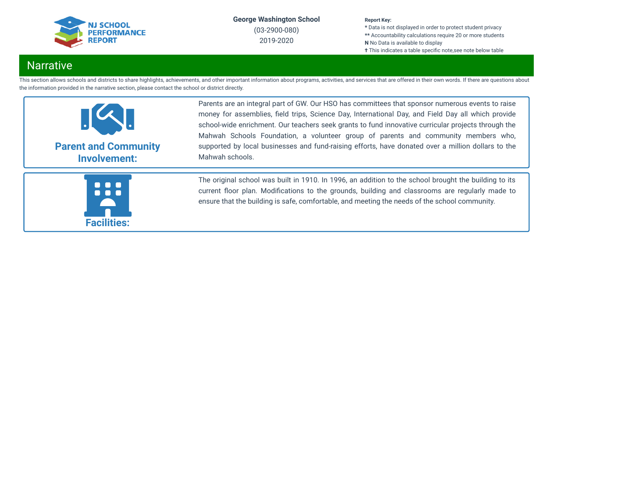

(03-2900-080) 2019-2020

#### **Report Key:**

**\*** Data is not displayed in order to protect student privacy **\*\*** Accountability calculations require 20 or more students **N** No Data is available to display **†** This indicates a table specific note, see note below table

# Narrative

This section allows schools and districts to share highlights, achievements, and other important information about programs, activities, and services that are offered in their own words. If there are questions about the information provided in the narrative section, please contact the school or district directly.



Parents are an integral part of GW. Our HSO has committees that sponsor numerous events to raise money for assemblies, field trips, Science Day, International Day, and Field Day all which provide school-wide enrichment. Our teachers seek grants to fund innovative curricular projects through the Mahwah Schools Foundation, a volunteer group of parents and community members who, supported by local businesses and fund-raising efforts, have donated over a million dollars to the Mahwah schools.



The original school was built in 1910. In 1996, an addition to the school brought the building to its current floor plan. Modifications to the grounds, building and classrooms are regularly made to ensure that the building is safe, comfortable, and meeting the needs of the school community.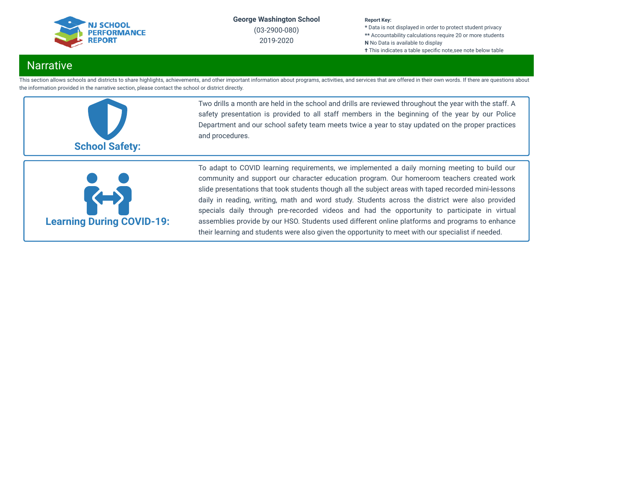

(03-2900-080) 2019-2020

#### **Report Key:**

**\*** Data is not displayed in order to protect student privacy **\*\*** Accountability calculations require 20 or more students **N** No Data is available to display **†** This indicates a table specific note, see note below table

# **Narrative**

This section allows schools and districts to share highlights, achievements, and other important information about programs, activities, and services that are offered in their own words. If there are questions about the information provided in the narrative section, please contact the school or district directly.



Two drills a month are held in the school and drills are reviewed throughout the year with the staff. A safety presentation is provided to all staff members in the beginning of the year by our Police Department and our school safety team meets twice a year to stay updated on the proper practices and procedures.



To adapt to COVID learning requirements, we implemented a daily morning meeting to build our community and support our character education program. Our homeroom teachers created work slide presentations that took students though all the subject areas with taped recorded mini-lessons daily in reading, writing, math and word study. Students across the district were also provided specials daily through pre-recorded videos and had the opportunity to participate in virtual assemblies provide by our HSO. Students used different online platforms and programs to enhance their learning and students were also given the opportunity to meet with our specialist if needed.